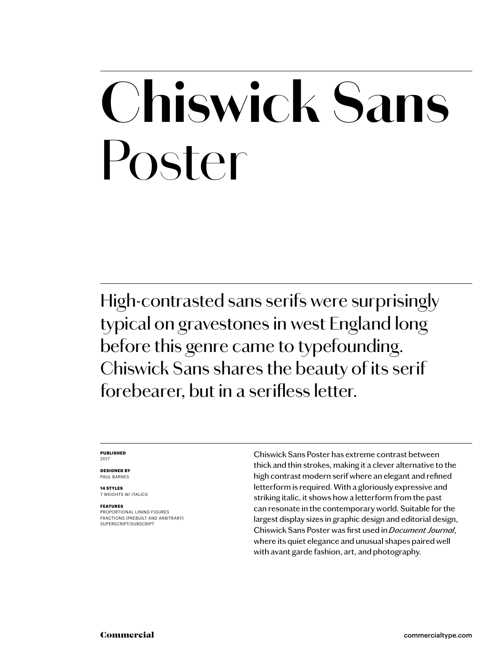### **Chiswick Sans** Poster

High-contrasted sans serifs were surprisingly typical on gravestones in west England long before this genre came to typefounding. Chiswick Sans shares the beauty of its serif forebearer, but in a serifless letter.

### **PUBLISHED** 2017

**DESIGNED BY** PAUL BARNES

**14 STYLES** 7 WEIGHTS W/ ITALICS

### **FEATURES**

PROPORTIONAL LINING FIGURES FRACTIONS (PREBUILT AND ARBITRARY) SUPERSCRIPT/SUBSCRIPT

Chiswick Sans Poster has extreme contrast between thick and thin strokes, making it a clever alternative to the high contrast modern serif where an elegant and refined letterform is required. With a gloriously expressive and striking italic, it shows how a letterform from the past can resonate in the contemporary world. Suitable for the largest display sizes in graphic design and editorial design, Chiswick Sans Poster was first used in *Document Journal*, where its quiet elegance and unusual shapes paired well with avant garde fashion, art, and photography.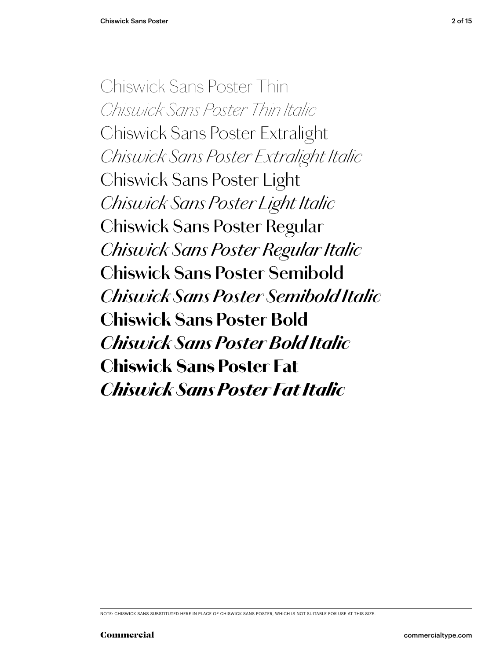Chiswick Sans Poster Thin *Chiswick Sans Poster Thin Italic Chiswick Sans Poster Extralight Chiswick Sans Poster Extralight Italic* Chiswick Sans Poster Light *Chiswick Sans Poster Light Italic* Chiswick Sans Poster Regular *Chiswick Sans Poster Regular Italic* **Chiswick Sans Poster Semibold** *Chiswick Sans Poster Semibold Italic* **Chiswick Sans Poster Bold** *Chiswick Sans Poster Bold Italic* Chiswick Sans Poster Fat *Chiswick Sans Poster Fat Italic*

NOTE: CHISWICK SANS SUBSTITUTED HERE IN PLACE OF CHISWICK SANS POSTER, WHICH IS NOT SUITABLE FOR USE AT THIS SIZE.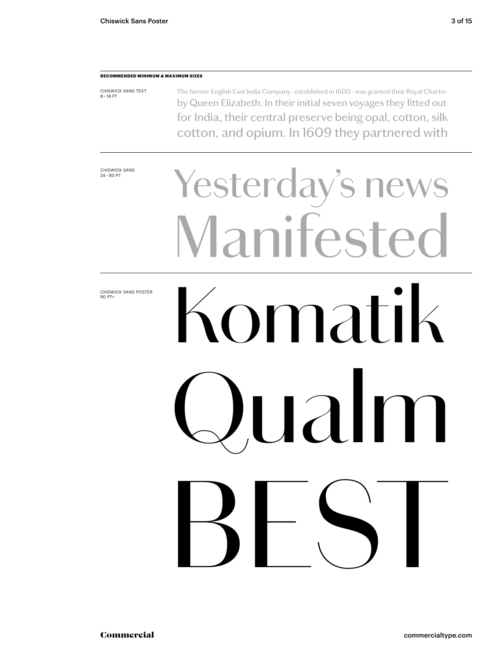### **RECOMMENDED MINIMUM & MAXIMUM SIZES**

CHISWICK SANS TEXT 8 – 18 PT The former English East India Company – established in 1600 – was granted their Royal Charter by Queen Elizabeth. In their initial seven voyages they fitted out for India, their central preserve being opal, cotton, silk cotton, and opium. In 1609 they partnered with

CHISWICK SANS<br>24-90 PT

CHISWICK SANS POSTER 90 PT+

# Yesterday's news **Lanifeste** Komatik  $\overline{\phantom{a}}$ BEST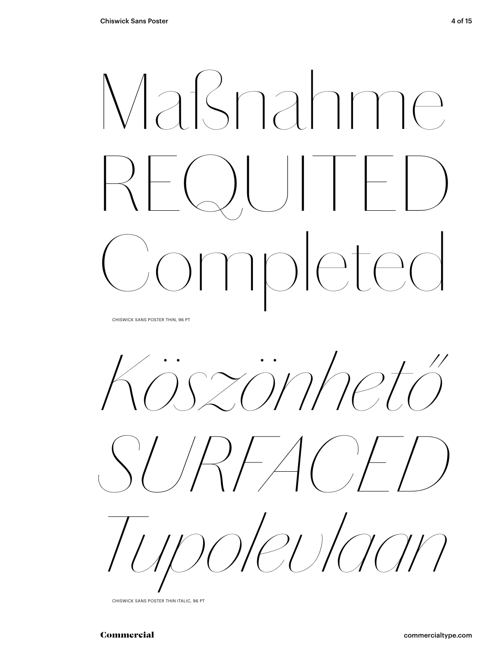## Maßnahme  $\Box$ Completed

CHISWICK SANS POSTER THIN, 96 PT

*Köszönhető* 





CHISWICK SANS POSTER THIN ITALIC, 96 PT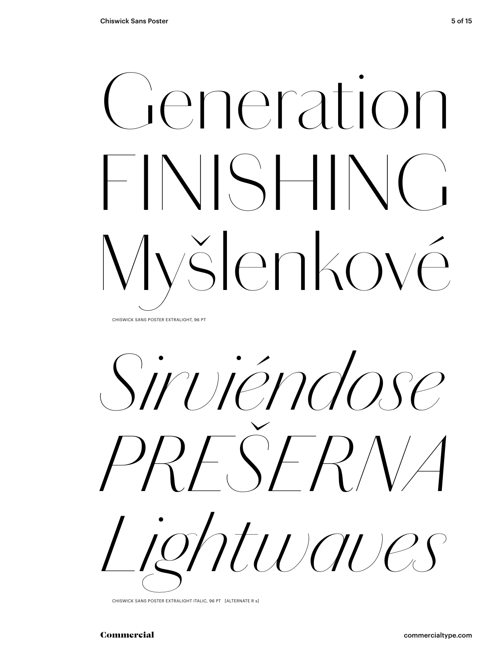### Generation FINISHING Myšlenkové CHISWICK SANS POSTER EXTRALIGHT, 96 PT

*Sirviéndose PREŠERNA Lightwaves*

CHISWICK SANS POSTER EXTRALIGHT ITALIC, 96 PT [ALTERNATE R s]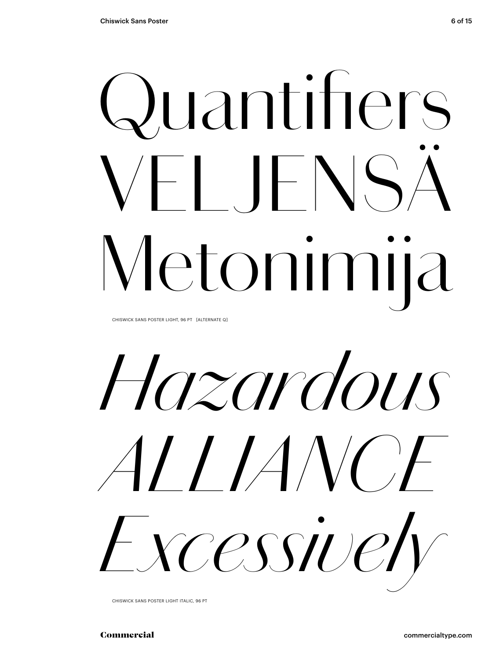# Quantifiers 'HIFNS Metonimija

CHISWICK SANS POSTER LIGHT, 96 PT [ALTERNATE Q]

*Hazardous ALLIANCE Excessively*

CHISWICK SANS POSTER LIGHT ITALIC, 96 PT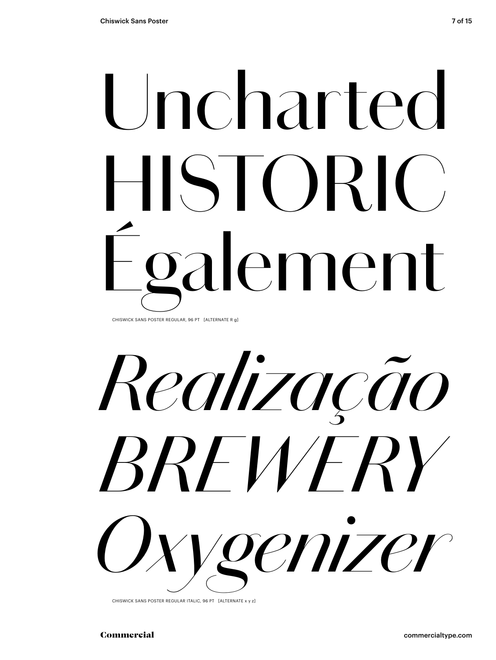## Uncharted HISTORIC) galement CHISWICK SANS POSTER REGULAR, 96 PT [ALTERNATE R g]

*Realização BREWERY Oxygenizer*

CHISWICK SANS POSTER REGULAR ITALIC, 96 PT [ALTERNATE x y z]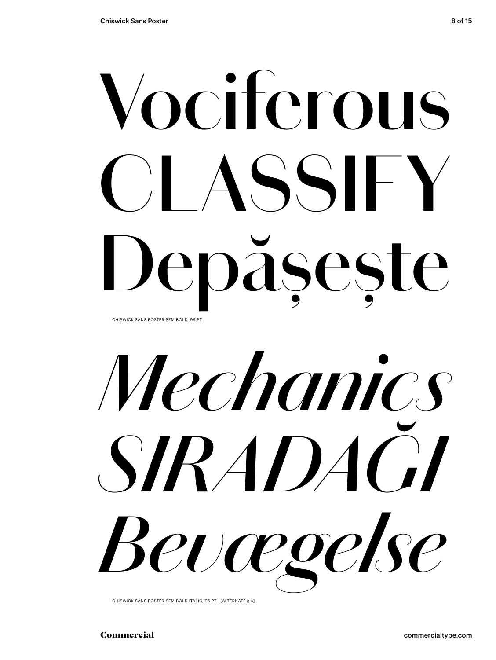## **Vociferous CLASSIFY Depășește** CHISWICK SANS POSTER SEMIBOLD, 96 PT

*Mechanics SIRADAĞI Bevægelse*

CHISWICK SANS POSTER SEMIBOLD ITALIC, 96 PT [ALTERNATE g s]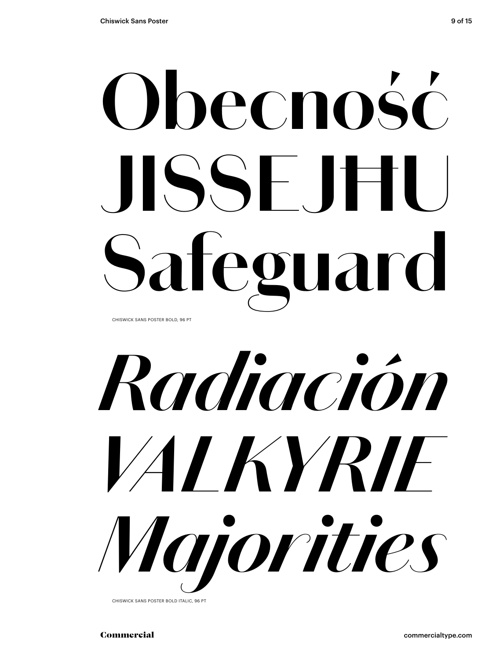## **Obecność JISSEJĦU Safeguard**

CHISWICK SANS POSTER BOLD, 96 PT



CHISWICK SANS POSTER BOLD ITALIC, 96 PT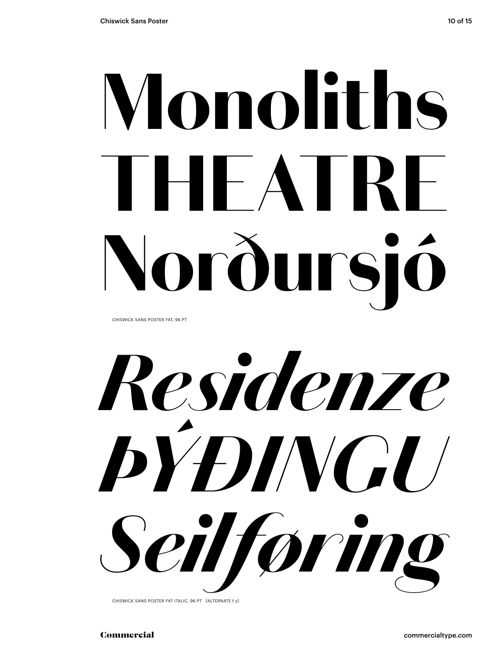# Monoliths THEATRE Norðursió

CHISWICK SANS POSTER FAT, 96 PT

*Residenze ÞÝÐINGU Seilføring*

CHISWICK SANS POSTER FAT ITALIC, 96 PT [ALTERNATE f z]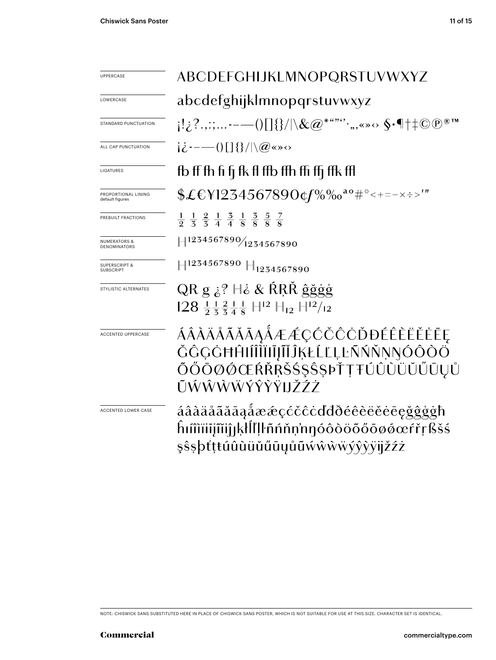| <b>UPPERCASE</b>                               | ABCDEFGHIJKLMNOPQRSTUVWXYZ                                                                                                                            |  |  |
|------------------------------------------------|-------------------------------------------------------------------------------------------------------------------------------------------------------|--|--|
| LOWERCASE                                      | abcdefghijklmnopqrstuvwxyz                                                                                                                            |  |  |
| STANDARD PUNCTUATION                           | $\{ \{2^{\cdot},\ldots\cdot-(-)\}  \} \}/\lambda \& @>*^{***}$ .,,«» $\circ \ \S \cdot \P \dagger \pm \mathbb{C} \, \mathbb{P}$                       |  |  |
| ALL CAP PUNCTUATION                            | $i\dot{\zeta}$ --- ()[] {}/ \@ <> \cdots                                                                                                              |  |  |
| LIGATURES                                      | fb ff fh fi fi fk fl ffb ffh ffi ffi ffk ffl                                                                                                          |  |  |
| PROPORTIONAL LINING<br>default figures         | \$£€\}1234567890¢f%‰ <sup>ao</sup> #°<+=-×÷>'"                                                                                                        |  |  |
| PREBUILT FRACTIONS                             | $\frac{1}{9}$ $\frac{1}{5}$ $\frac{2}{5}$ $\frac{1}{4}$ $\frac{3}{4}$ $\frac{1}{8}$ $\frac{3}{8}$ $\frac{5}{8}$ $\frac{7}{8}$                         |  |  |
| <b>NUMERATORS &amp;</b><br><b>DENOMINATORS</b> | $H^{1234567890}/_{1234567890}$                                                                                                                        |  |  |
| <b>SUPERSCRIPT &amp;</b><br><b>SUBSCRIPT</b>   | $\left \right $ 1234567890 $\left \right $ <sub>1234567890</sub>                                                                                      |  |  |
| STYLISTIC ALTERNATES                           | QR g $\dot{\varepsilon}$ ? $\dot{\varepsilon}$ & RRŘ ĝğgg<br>$128 \frac{11}{2} \frac{21}{3} \frac{1}{4} \frac{1}{8}$ $H^{12}$ $H_{12}$ $H^{12}/_{12}$ |  |  |
| ACCENTED UPPERCASE                             | ÁÂÀÄÅÃĂĂĀĄÅÆÆÇĆČĈÒĐÉÊÈËĔĖĒĘ<br>ŎĜĢĠĦĤŀĺÎĨĨŀĨŀĨĬĴĶŁĹĽĻĿÑŃŇŅŊÓÔŎŎ<br>ÕŐŌØØŒŔŘŖŠŚŞŜŞÞŤŢŦÚÛÙÜŬŰŪŲŮ<br>ŨŴŴŴŴŶŶŸĦŽŹŻ                                        |  |  |
| <b>ACCENTED LOWER CASE</b>                     | <u>áâàäåããāaåææçćčĉċďďðéêèëěėēęğĝģġħ</u><br>ĥıîîïiijĩiijıķłĺľļŀñńňņ'nŋóôòöõőōøøœŕřŗßšś<br>şŝşþťţŧúûùüŭűūyůũẃŵŵẅýŷỳÿjžźż                               |  |  |

NOTE: CHISWICK SANS SUBSTITUTED HERE IN PLACE OF CHISWICK SANS POSTER, WHICH IS NOT SUITABLE FOR USE AT THIS SIZE. CHARACTER SET IS IDENTICAL.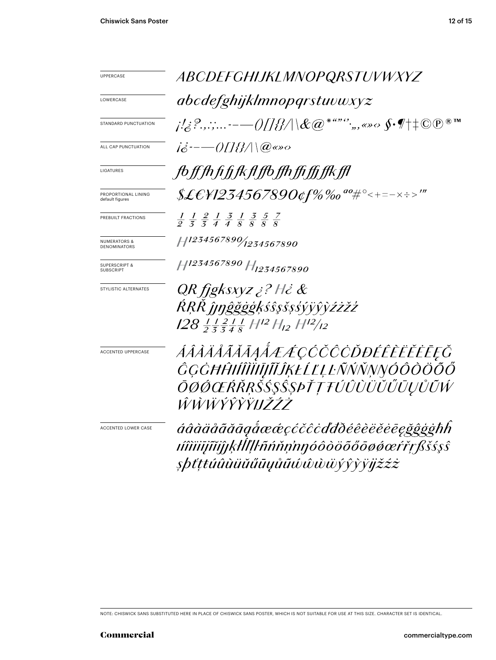| <b>UPPERCASE</b>                             | ABCDEFGHIJKLMNOPQRSTUVWXYZ                                                                                                    |  |  |
|----------------------------------------------|-------------------------------------------------------------------------------------------------------------------------------|--|--|
| LOWERCASE                                    | abcdefghijklmnopqrstuvwxyz                                                                                                    |  |  |
| STANDARD PUNCTUATION                         | j!z?.,:;-— $\!/\!$ ][}}/\\&@*""`,,«» $\circ$ $\mathfrak{S}\cdot\mathscr{I}^+ \!\!\uparrow$ CO                                 |  |  |
| ALL CAP PUNCTUATION                          | $i\dot{\delta}$ --- ()[]{}/\\@&>0                                                                                             |  |  |
| LIGATURES                                    | fb ff fh fi fj fk fl ffb ffh ffi ffj ffk ffl                                                                                  |  |  |
| PROPORTIONAL LINING<br>default figures       | \$£€¥1234567890¢f%‰"#°<+=-×÷>'"                                                                                               |  |  |
| PREBUILT FRACTIONS                           | $\frac{1}{9}$ $\frac{1}{5}$ $\frac{2}{5}$ $\frac{1}{4}$ $\frac{3}{8}$ $\frac{1}{8}$ $\frac{3}{8}$ $\frac{5}{8}$ $\frac{7}{8}$ |  |  |
| <b>NUMERATORS &amp;</b><br>DENOMINATORS      | $H^{1234567890}$ 1234567890                                                                                                   |  |  |
| <b>SUPERSCRIPT &amp;</b><br><b>SUBSCRIPT</b> | H <sub>1234567890</sub> H <sub>1234567890</sub>                                                                               |  |  |
| STYLISTIC ALTERNATES                         | QR fjgksxyz ¿? H¿ &<br>ŔŖŔĴŧŋĝğġģķśŝşšşśýÿŷỳźżžź                                                                              |  |  |
|                                              | $128\frac{1}{2} \frac{1}{5} \frac{2}{5} \frac{1}{4} \frac{1}{8}$ H <sup>12</sup> H <sub>12</sub> H <sup>12</sup> /12          |  |  |
| <b>ACCENTED UPPERCASE</b>                    | ÁÂÀÄÅÃĂĂĄÅÆÆÇĆČĈÒĐÉÊÈËĔĒĘŎ<br>ĜĢĠĦĤŀĺĤĨĬIJĨĬĴĶŁĹĽĻĿÑŃŇŅŊÓÔŎÖŐŐ<br>ŌØŐŒŔŘŖŠŚŞŜŞÞŤŢŦŰÛÙÜŬŰŨŲŮŨŴ<br>ŴŴŴŶŶŶŸĦŽŹŻ                  |  |  |
| ACCENTED LOWER CASE                          | áâàäåããāgåææçćčĉċďđðéêèëĕēeğĝģġħh<br>ᡤîìïijĩĭijĵjķłllļŀñńňņ'nŋóôòöõőōøøœŕřŗßšśşŝ<br><i>sþťttúûùüŭűūyůũŵŵŵŭýŷỳÿjžźż</i>        |  |  |

NOTE: CHISWICK SANS SUBSTITUTED HERE IN PLACE OF CHISWICK SANS POSTER, WHICH IS NOT SUITABLE FOR USE AT THIS SIZE. CHARACTER SET IS IDENTICAL.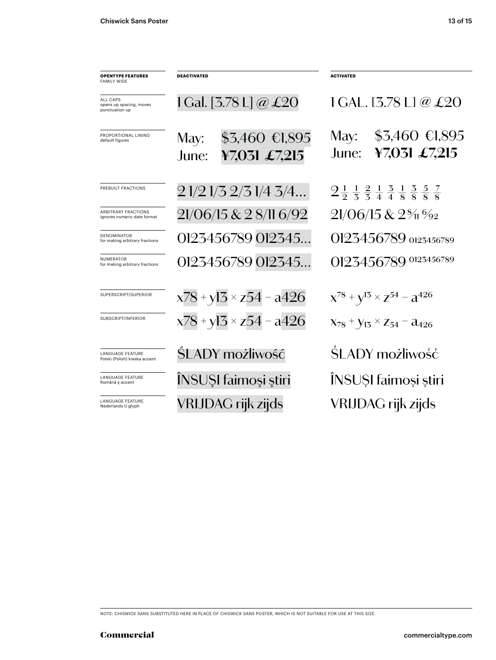| <b>OPENTYPE FEATURES</b><br><b>FAMILY WIDE</b>            | <b>DEACTIVATED</b>                                | <b>ACTIVATED</b>                                                                                                 |
|-----------------------------------------------------------|---------------------------------------------------|------------------------------------------------------------------------------------------------------------------|
| ALL CAPS<br>opens up spacing, moves<br>punctuation up     | 1 Gal. [3.78 L] @ £20                             | 1 GAL. [3.78 L] @ $\pounds 20$                                                                                   |
| PROPORTIONAL LINING<br>default figures                    | $$3,460$ €1,895<br>May:<br>¥7,031 £7,215<br>June: | $$3,460$ €1,895<br>May:<br>¥7,031 £7,215<br>June:                                                                |
| PREBUILT FRACTIONS                                        | 2 1/2 1/3 2/3 1/4 3/4                             | $2\frac{1}{2}$ $\frac{1}{3}$ $\frac{2}{4}$ $\frac{1}{4}$ $\frac{3}{8}$ $\frac{3}{8}$ $\frac{5}{8}$ $\frac{7}{8}$ |
| <b>ARBITRARY FRACTIONS</b><br>ignores numeric date format | 21/06/15 & 2 8/11 6/92                            | $21/06/15 & 2\%1\%2$                                                                                             |
| <b>DENOMINATOR</b><br>for making arbitrary fractions      | 0123456789 012345                                 | 0123456789 0123456789                                                                                            |
| <b>NUMERATOR</b><br>for making arbitrary fractions        | 0123456789 012345                                 | 0123456789 0123456789                                                                                            |
| SUPERSCRIPT/SUPERIOR                                      | $x78 + y13 \times z54 - a426$                     | $X^{78} + Y^{13} \times Z^{54} - Z^{426}$                                                                        |
| SUBSCRIPT/INFERIOR                                        | $x78 + y13 \times z54 - a426$                     | $X_{78}$ + $Y_{13}$ $\times$ Z <sub>54</sub> – $a_{426}$                                                         |
| <b>LANGUAGE FEATURE</b><br>Polski (Polish) kreska accent  | SLADY możliwość                                   | SLADY możliwość                                                                                                  |
| LANGUAGE FEATURE<br>Română ș accent                       | ÎNSUȘI faimoși știri                              | INSUȘI faimoși știri                                                                                             |
| <b>LANGUAGE FEATURE</b><br>Nederlands IJ glyph            | VRIJDAG rijk zijds                                | VRIJDAG rijk zijds                                                                                               |

NOTE: CHISWICK SANS SUBSTITUTED HERE IN PLACE OF CHISWICK SANS POSTER, WHICH IS NOT SUITABLE FOR USE AT THIS SIZE.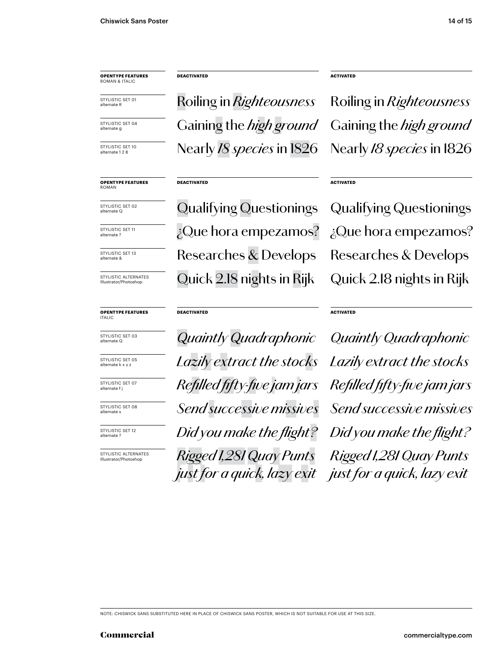### **OPENTYPE FEATURES** ROMAN & ITALIC

STYLISTIC SET 01 alternate R

STYLISTIC SET 04 alternate g

STYLISTIC SET 10 alternate 1 2 8

**OPENTYPE FEATURES** ROMAN

STYLISTIC SET 02 alternate Q

STYLISTIC SET 11 alternate ?

STYLISTIC SET 13 alternate &

STYLISTIC ALTERNATES Illustrator/Photoshop

### **OPENTYPE FEATURES** ITALIC



STYLISTIC SET 05 alternate k x y :

STYLISTIC SET 07 alternate f j

STYLISTIC SET 08 alternate s

STYLISTIC SET 12 alternate ?

STYLISTIC ALTERNATES Illustrator/Photoshop

Roiling in *Righteousness* Gaining the *high ground* Nearly *18 species* in 1826

### **DEACTIVATED**

**DEACTIVATED**

Qualifying Questionings Researches & Develops ¿Que hora empezamos? Quick 2.18 nights in Rijk

### **DEACTIVATED**

alternate Q *Quaintly Quadraphonic Lazily extract the stocks Refilled fifty-five jam jars Send successive missives Did you make the flight? Rigged 1,281 Quay Punts just for a quick, lazy exit* **ACTIVATED**

Roiling in *Righteousness* Gaining the *high ground* Nearly *18 species* in 1826

### **ACTIVATED**

Qualifying Questionings Researches & Develops ¿Que hora empezamos? Quick 2.18 nights in Rijk

### **ACTIVATED**

*Quaintly Quadraphonic Lazily extract the stocks Refilled fifty-five jam jars Send successive missives Did you make the flight? Rigged 1,281 Quay Punts just for a quick, lazy exit*

NOTE: CHISWICK SANS SUBSTITUTED HERE IN PLACE OF CHISWICK SANS POSTER, WHICH IS NOT SUITABLE FOR USE AT THIS SIZE.